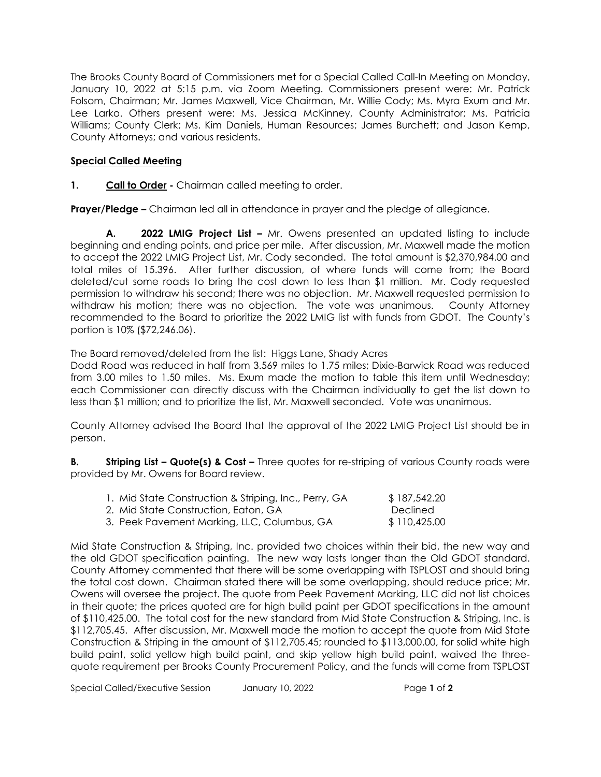The Brooks County Board of Commissioners met for a Special Called Call-In Meeting on Monday, January 10, 2022 at 5:15 p.m. via Zoom Meeting. Commissioners present were: Mr. Patrick Folsom, Chairman; Mr. James Maxwell, Vice Chairman, Mr. Willie Cody; Ms. Myra Exum and Mr. Lee Larko. Others present were: Ms. Jessica McKinney, County Administrator; Ms. Patricia Williams; County Clerk; Ms. Kim Daniels, Human Resources; James Burchett; and Jason Kemp, County Attorneys; and various residents.

## **Special Called Meeting**

**1. Call to Order -** Chairman called meeting to order.

**Prayer/Pledge –** Chairman led all in attendance in prayer and the pledge of allegiance.

**A. 2022 LMIG Project List –** Mr. Owens presented an updated listing to include beginning and ending points, and price per mile. After discussion, Mr. Maxwell made the motion to accept the 2022 LMIG Project List, Mr. Cody seconded. The total amount is \$2,370,984.00 and total miles of 15.396. After further discussion, of where funds will come from; the Board deleted/cut some roads to bring the cost down to less than \$1 million. Mr. Cody requested permission to withdraw his second; there was no objection. Mr. Maxwell requested permission to withdraw his motion; there was no objection. The vote was unanimous. County Attorney recommended to the Board to prioritize the 2022 LMIG list with funds from GDOT. The County's portion is 10% (\$72,246.06).

The Board removed/deleted from the list: Higgs Lane, Shady Acres

Dodd Road was reduced in half from 3.569 miles to 1.75 miles; Dixie-Barwick Road was reduced from 3.00 miles to 1.50 miles. Ms. Exum made the motion to table this item until Wednesday; each Commissioner can directly discuss with the Chairman individually to get the list down to less than \$1 million; and to prioritize the list, Mr. Maxwell seconded. Vote was unanimous.

County Attorney advised the Board that the approval of the 2022 LMIG Project List should be in person.

**B. Striping List – Quote(s) & Cost –** Three quotes for re-striping of various County roads were provided by Mr. Owens for Board review.

| 1. Mid State Construction & Striping, Inc., Perry, GA | \$187,542.20 |
|-------------------------------------------------------|--------------|
| 2. Mid State Construction, Eaton, GA                  | Declined     |
| 3. Peek Pavement Marking, LLC, Columbus, GA           | \$110,425.00 |

Mid State Construction & Striping, Inc. provided two choices within their bid, the new way and the old GDOT specification painting. The new way lasts longer than the Old GDOT standard. County Attorney commented that there will be some overlapping with TSPLOST and should bring the total cost down. Chairman stated there will be some overlapping, should reduce price; Mr. Owens will oversee the project. The quote from Peek Pavement Marking, LLC did not list choices in their quote; the prices quoted are for high build paint per GDOT specifications in the amount of \$110,425.00. The total cost for the new standard from Mid State Construction & Striping, Inc. is \$112,705.45. After discussion, Mr. Maxwell made the motion to accept the quote from Mid State Construction & Striping in the amount of \$112,705.45; rounded to \$113,000.00, for solid white high build paint, solid yellow high build paint, and skip yellow high build paint, waived the threequote requirement per Brooks County Procurement Policy, and the funds will come from TSPLOST